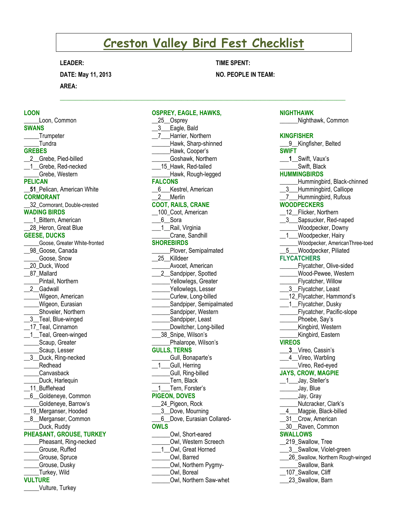# **Creston Valley Bird Fest Checklist**

 $\mathcal{L}_\mathcal{L} = \{ \mathcal{L}_\mathcal{L} = \{ \mathcal{L}_\mathcal{L} = \{ \mathcal{L}_\mathcal{L} = \{ \mathcal{L}_\mathcal{L} = \{ \mathcal{L}_\mathcal{L} = \{ \mathcal{L}_\mathcal{L} = \{ \mathcal{L}_\mathcal{L} = \{ \mathcal{L}_\mathcal{L} = \{ \mathcal{L}_\mathcal{L} = \{ \mathcal{L}_\mathcal{L} = \{ \mathcal{L}_\mathcal{L} = \{ \mathcal{L}_\mathcal{L} = \{ \mathcal{L}_\mathcal{L} = \{ \mathcal{L}_\mathcal{$ 

**OSPREY, EAGLE, HAWKS,** 

## **LEADER:**

**DATE: May 11, 2013 AREA:**

# **TIME SPENT:**

# **NO. PEOPLE IN TEAM:**

## **LOON**

**\_\_\_\_\_**Loon, Common **SWANS \_\_\_\_**\_Trumpeter \_\_\_\_\_Tundra **GREBES** 2 Grebe, Pied-billed 1 Grebe, Red-necked \_\_\_\_\_Grebe, Western **PELICAN \_\_51\_**Pelican, American White **CORMORANT** \_\_32\_Cormorant, Double-crested **WADING BIRDS** 1 Bittern, American 28 Heron, Great Blue **GEESE, DUCKS** \_\_\_\_\_Goose, Greater White-fronted \_\_98\_Goose, Canada \_\_\_\_\_Goose, Snow \_\_20\_Duck, Wood \_\_87\_Mallard \_\_\_\_\_Pintail, Northern 2\_Gadwall \_\_\_\_\_Wigeon, American Wigeon, Eurasian \_\_\_\_\_Shoveler, Northern \_3\_\_Teal, Blue-winged 17 Teal, Cinnamon \_1\_Teal, Green-winged Scaup, Greater Scaup, Lesser \_\_3\_\_Duck, Ring-necked \_\_\_\_\_Redhead \_\_\_\_\_Canvasback \_\_\_\_\_Duck, Harlequin \_\_11\_Bufflehead \_\_6\_\_Goldeneye, Common \_\_\_\_\_Goldeneye, Barrow's 19 Merganser, Hooded 8\_Merganser, Common Duck, Ruddy **PHEASANT, GROUSE, TURKEY** Pheasant, Ring-necked \_\_\_\_\_Grouse, Ruffed \_\_\_\_\_Grouse, Spruce \_\_\_\_\_Grouse, Dusky \_\_\_\_\_Turkey, Wild

## **VULTURE**

\_\_\_\_\_Vulture, Turkey

# 25\_Osprey \_\_3\_\_\_Eagle, Bald \_\_7\_\_\_Harrier, Northern \_\_\_\_\_\_Hawk, Sharp-shinned \_\_\_\_\_\_Hawk, Cooper's \_\_\_\_\_\_Goshawk, Northern \_\_\_15\_Hawk, Red-tailed Hawk, Rough-legged **FALCONS** 6\_\_\_Kestrel, American 2 Merlin **COOT, RAILS, CRANE** 100 Coot, American \_\_\_6\_\_Sora \_1\_Rail, Virginia \_\_\_\_\_\_Crane, Sandhill **SHOREBIRDS** Plover, Semipalmated \_\_25\_\_Killdeer \_\_\_\_\_\_Avocet, American 2\_Sandpiper, Spotted Yellowlegs, Greater Yellowlegs, Lesser \_\_\_\_\_\_Curlew, Long-billed Sandpiper, Semipalmated Sandpiper, Western \_\_\_\_\_\_Sandpiper, Least Dowitcher, Long-billed \_\_\_38\_Snipe, Wilson's Phalarope, Wilson's **GULLS, TERNS** Gull, Bonaparte's \_\_1\_\_\_Gull, Herring \_\_\_\_\_\_Gull, Ring-billed Tern, Black 1 Tern, Forster's **PIGEON, DOVES** \_\_\_24\_Pigeon, Rock \_\_\_3\_\_Dove, Mourning \_\_\_6\_\_Dove, Eurasian Collared-**OWLS** \_\_\_\_\_\_Owl, Short-eared \_\_\_\_\_\_Owl, Western Screech 1 Owl, Great Horned \_\_\_\_\_\_Owl, Barred \_\_\_\_\_\_Owl, Northern Pygmy- \_\_\_\_\_\_Owl, Boreal \_\_\_\_\_\_Owl, Northern Saw-whet

#### **NIGHTHAWK**

**\_\_\_\_\_\_**Nighthawk, Common

#### **KINGFISHER**

9\_Kingfisher, Belted **SWIFT \_\_\_1\_**\_Swift, Vaux's Swift, Black **HUMMINGBIRDS** \_\_\_\_\_\_Hummingbird, Black-chinned \_\_3\_\_\_Hummingbird, Calliope 7 Hummingbird, Rufous **WOODPECKERS** 12 Flicker, Northern 13\_Sapsucker, Red-naped \_\_\_\_\_\_Woodpecker, Downy 1 Woodpecker, Hairy \_\_\_\_\_\_Woodpecker, AmericanThree-toed \_\_5\_\_\_Woodpecker, Piliated **FLYCATCHERS** \_\_\_\_\_\_Flycatcher, Olive-sided \_\_\_\_\_\_Wood-Pewee, Western **\_\_\_\_\_\_**Flycatcher, Willow 3 Flycatcher, Least \_12\_Flycatcher, Hammond's 1 Flycatcher, Dusky Flycatcher, Pacific-slope Phoebe, Say's Kingbird, Western Kingbird, Eastern **VIREOS \_\_\_3\_**\_Vireo, Cassin's 4 Vireo, Warbling \_\_\_\_\_\_Vireo, Red-eyed **JAYS, CROW, MAGPIE** 1\_\_\_Jay, Steller's \_\_\_\_\_\_Jay, Blue \_\_\_\_\_\_Jay, Gray Nutcracker, Clark's 4 Magpie, Black-billed 31 Crow, American \_\_30\_\_Raven, Common **SWALLOWS** \_\_219\_Swallow, Tree \_3\_Swallow, Violet-green 26 Swallow, Northern Rough-winged Swallow, Bank \_\_107\_Swallow, Cliff 23 Swallow, Barn